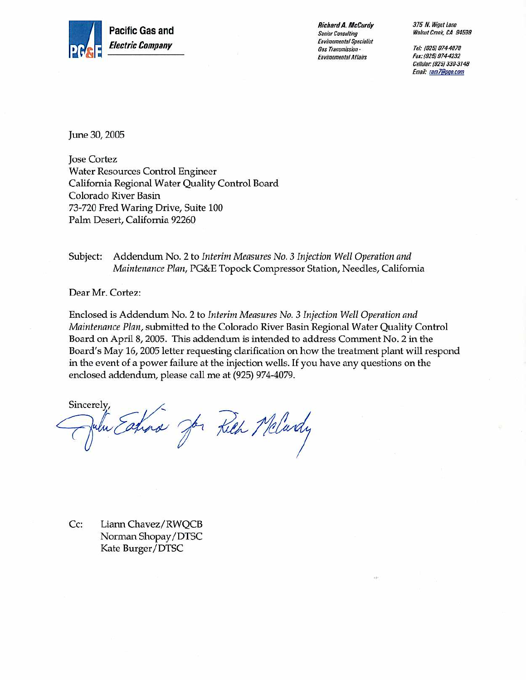

**Richard A. McCurdy Senior Consulting Environmental Specialist** Gas Transmission -**Environmental Affairs** 

375 N. Wiget Lane Walnut Creek, CA 94598

Tel: (925) 974-4079 Fax: (925) 974-4232 Cellular: (925) 330-3148 Email: ram7@pge.com

June 30, 2005

**Jose Cortez Water Resources Control Engineer** California Regional Water Quality Control Board Colorado River Basin 73-720 Fred Waring Drive, Suite 100 Palm Desert, California 92260

Subject: Addendum No. 2 to Interim Measures No. 3 Injection Well Operation and Maintenance Plan, PG&E Topock Compressor Station, Needles, California

Dear Mr. Cortez:

Enclosed is Addendum No. 2 to Interim Measures No. 3 Injection Well Operation and *Maintenance Plan,* submitted to the Colorado River Basin Regional Water Quality Control Board on April 8, 2005. This addendum is intended to address Comment No. 2 in the Board's May 16, 2005 letter requesting clarification on how the treatment plant will respond in the event of a power failure at the injection wells. If you have any questions on the enclosed addendum, please call me at (925) 974-4079.

Sincerely, ulu Eatina Jor Kich Mclardy

 $Cc:$ Liann Chavez/RWQCB Norman Shopay/DTSC Kate Burger/DTSC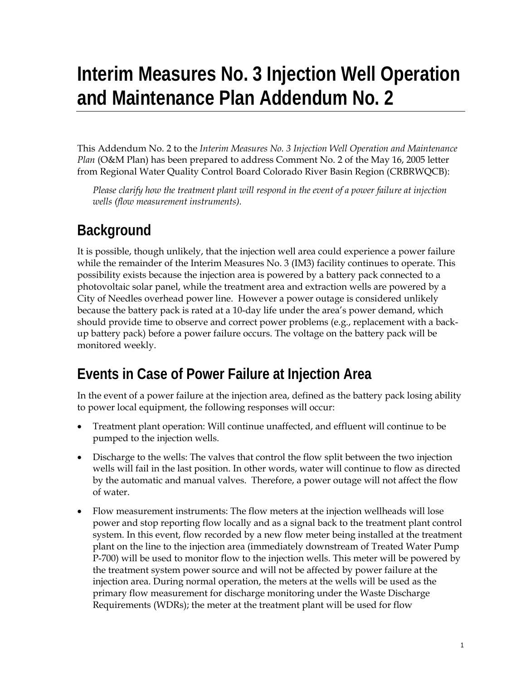## **Interim Measures No. 3 Injection Well Operation and Maintenance Plan Addendum No. 2**

This Addendum No. 2 to the *Interim Measures No. 3 Injection Well Operation and Maintenance Plan* (O&M Plan) has been prepared to address Comment No. 2 of the May 16, 2005 letter from Regional Water Quality Control Board Colorado River Basin Region (CRBRWQCB):

*Please clarify how the treatment plant will respond in the event of a power failure at injection wells (flow measurement instruments).*

## **Background**

It is possible, though unlikely, that the injection well area could experience a power failure while the remainder of the Interim Measures No. 3 (IM3) facility continues to operate. This possibility exists because the injection area is powered by a battery pack connected to a photovoltaic solar panel, while the treatment area and extraction wells are powered by a City of Needles overhead power line. However a power outage is considered unlikely because the battery pack is rated at a 10-day life under the area's power demand, which should provide time to observe and correct power problems (e.g., replacement with a backup battery pack) before a power failure occurs. The voltage on the battery pack will be monitored weekly.

## **Events in Case of Power Failure at Injection Area**

In the event of a power failure at the injection area, defined as the battery pack losing ability to power local equipment, the following responses will occur:

- Treatment plant operation: Will continue unaffected, and effluent will continue to be pumped to the injection wells.
- Discharge to the wells: The valves that control the flow split between the two injection wells will fail in the last position. In other words, water will continue to flow as directed by the automatic and manual valves. Therefore, a power outage will not affect the flow of water.
- Flow measurement instruments: The flow meters at the injection wellheads will lose power and stop reporting flow locally and as a signal back to the treatment plant control system. In this event, flow recorded by a new flow meter being installed at the treatment plant on the line to the injection area (immediately downstream of Treated Water Pump P-700) will be used to monitor flow to the injection wells. This meter will be powered by the treatment system power source and will not be affected by power failure at the injection area. During normal operation, the meters at the wells will be used as the primary flow measurement for discharge monitoring under the Waste Discharge Requirements (WDRs); the meter at the treatment plant will be used for flow